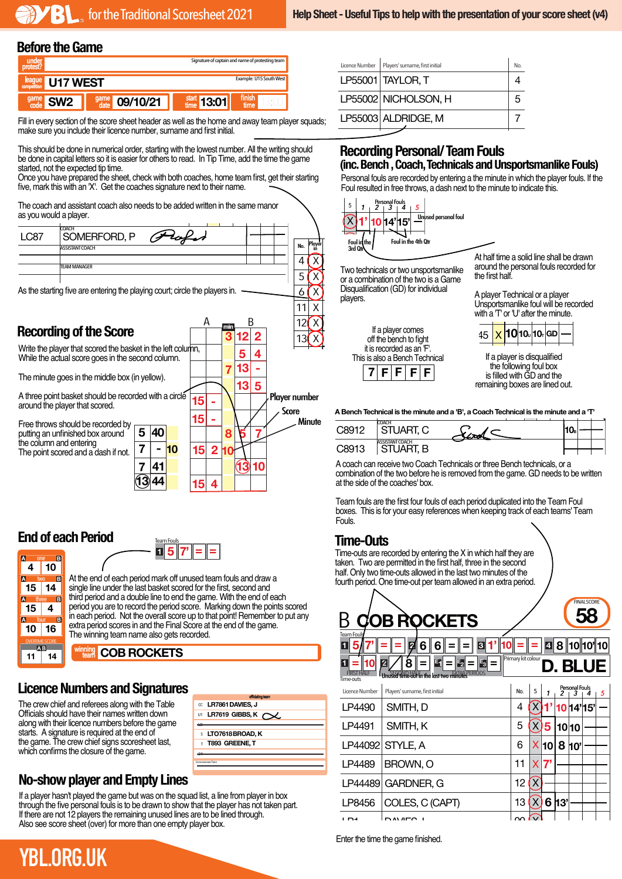#### Before the Game

LP55002 NICHOLSON, H



Fill in every section of the score sheet header as well as the home and away team player squads;<br>make away you include their licence mumber, summers and first initial make sure you include their licence number, surname and first initial. LicenceNumber

5

 $\frac{1}{\sqrt{2}}$ 

This should be done in numerical order, starting with the lowest number. All the writing should This should be done in numerical order, starting with the lowest number. All the whiting should<br>be done in capital letters so it is easier for others to read. In Tip Time, add the time the game started, not the expected tip time. started, not the expected tip time.<br>Once you have prepared the sheet, check with both coaches, home team first, get their starting DARKBLUE<br>Station

five, mark this with an 'X'. Get the coaches signature next to their name. heck with both coaches, home team first, get their sta<br>iches signature next to their name Unce you have prepared the sheet, check with both coaches, i<br>i.v. mode this with an IXL. Cet the accebes signature port to the

The coach and assistant coach also needs to be added written in the same manor **Allah** as you would a player.



#### **End of each Period**

one two three four

**10 14 4**

**R**  $\overline{B}$ E

**16**

 $\overline{P}$ 

**4**

 $\overline{\mathbf{M}}$ 

**15 15 10**

 $\mathbf{\bar{T}}$ **11 14**



At the end of each period mark off unused team fouls and draw a single line under the last basket scored for the first, second and third period and a double line to end the game. With the end of each period you are to record the period score. Marking down the points scored in each period. Not the overall score up to that point! Remember to put any extra period scores in and the Final Score at the end of the game. The winning team name also gets recorded.

#### **COB ROCKETS**

### **Licence Numbers and Signatures**

The crew chief and referees along with the Table Officials should have their names written down along with their licence numbers before the game starts. A signature is required at the end of the game. The crew chief signs scoresheet last, which confirms the closure of the game.

| <sup>∝</sup> LR7861 DAVIES. J<br>UT LR7619 GIBBS, K $\sim$ .<br>S LTO7618 BROAD. K<br>T T893 GREENE. T<br>Commissioned Tutor |
|------------------------------------------------------------------------------------------------------------------------------|
|                                                                                                                              |
|                                                                                                                              |
|                                                                                                                              |
|                                                                                                                              |
|                                                                                                                              |
|                                                                                                                              |
|                                                                                                                              |
|                                                                                                                              |
|                                                                                                                              |
|                                                                                                                              |
|                                                                                                                              |
|                                                                                                                              |

### **No-show player and Empty Lines**

If a player hasn't played the game but was on the squad list, a line from player in box through the five personal fouls is to be drawn to show that the player has not taken part. If there are not 12 players the remaining unused lines are to be lined through. Also see score sheet (over) for more than one empty player box.

| Licence Number | Players' surname, first initial | N <sub>0</sub> |  |
|----------------|---------------------------------|----------------|--|
|                | LP55001 TAYLOR, T               |                |  |
|                | LP55002 NICHOLSON, H            | 5              |  |
|                | LP55003 ALDRIDGE, M             |                |  |
|                |                                 |                |  |

#### **Recording Personal/Team Fouls 1 2 3 4 2 E1 E 2 E 3 X X = X X X X X X X X = = = = =** LP55001 TAYLOR, T 4 X

**THECOLUMBY FOR SUITAL TEAM FOULS**<br>The Bench , Coach, Technicals and Unsportsmanlike Fouls) FIRSTHALF n, soul **EXECT CONSTRAPT CONTRAPT CONSTRANS**<br> **EXECUTIVE CONSTRAPT CONSTRANS**<br> **EXECUTIVE CONSTRAPT CONSTRANS** 

Personal fouls are recorded by entering a the minute in which the player fouls. If the Foul resulted in free throws, a dash next to the minute to indicate this. 6' = = = refer to the through the methods of the minute in which the player fouls. If the Foul resulted in free throws, a dash next to the minute to indicate this. ng er reemer<br>S

 $\overline{a}$ 



 $\overline{a}$ 

10

Two technicals or two unsportsmanlike **(X)** Two technicals of two disponsition in the two is a Game Disqualification (GD) for individual  $\sim$  players.



At half time a solid line shall be drawn 23 X **P2** 11 X 15 X **7' 7' 4'** around the personal fouls recorded for<br>the first half the first half.

A player Technical or a player<br>Unepertementike foul will be re A player Tecnnical or a player<br>Unsportsmanlike foul will be recorded with a  $T'$  or 'U' after the minute.

|  |  |  | 15 X 10 10 10 GD - |  |
|--|--|--|--------------------|--|
|  |  |  |                    |  |

If a player is disqualified the following foul box is filled with GD and the remaining boxes are lined out.

**A Bench Technical is the minute and a 'B', a Coach Technical is the minute and a 'T'**

| $C$ 8012 | <b>COACH</b><br>UART, C     | -- 1775 |  | - -<br>I VB |  |
|----------|-----------------------------|---------|--|-------------|--|
| $C$ 8013 | <b>ASSISTANT COACH</b><br>В |         |  |             |  |

A coach can receive two Coach Technicals or three Bench technicals, or a A coach can receive two Coach Technicals or three Bench technicals, or a<br>combination of the two before he is removed from the game. GD needs to be written at the side of the coaches' box.

Team fouls are the first four fouls of each period duplicated into the Team Foul boxes. This is for your easy references when keeping track of each teams' Team Fouls.

## **Time-Outs**

Time-outs are recorded by entering the X in which half they are taken. Two are permitted in the first half, three in the second half. Only two time-outs allowed in the last two minutes of the fourth period. One time-out per team allowed in an extra period.



Enter the time the game finished.

# **YBL.ORG.UK**